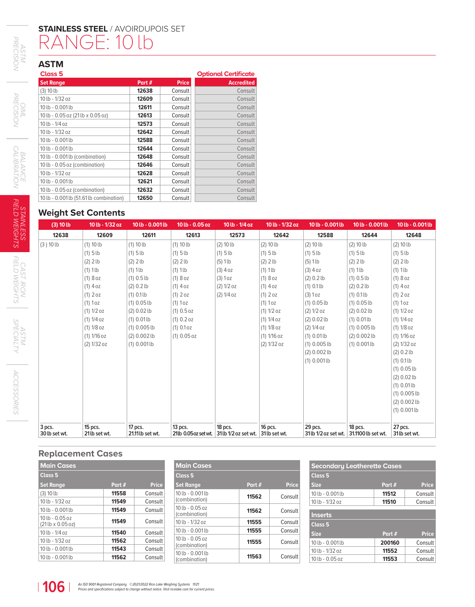# **STAINLESS STEEL** / AVOIRDUPOIS SET RANGE: 10 lb

# **ASTM**

| Class <sub>5</sub>                      |       |              | <b>Optional Certificate</b> |
|-----------------------------------------|-------|--------------|-----------------------------|
| <b>Set Range</b>                        | Part# | <b>Price</b> | <b>Accredited</b>           |
| (3) 10 lb                               | 12638 | Consult      | Consult                     |
| 10 lb - 1/32 oz                         | 12609 | Consult      | Consult                     |
| 10 lb - 0.001 lb                        | 12611 | Consult      | Consult                     |
| 10 lb - 0.05 oz (21 lb x 0.05 oz)       | 12613 | Consult      | Consult                     |
| $10 lb - 1/4 oz$                        | 12573 | Consult      | Consult                     |
| 10 lb - 1/32 oz                         | 12642 | Consult      | Consult                     |
| 10 lb - 0.001 lb                        | 12588 | Consult      | Consult                     |
| 10 lb - 0.001 lb                        | 12644 | Consult      | Consult                     |
| 10 lb - 0.001 lb (combination)          | 12648 | Consult      | Consult                     |
| 10 lb - 0.05 oz (combination)           | 12646 | Consult      | Consult                     |
| 10 lb - 1/32 oz                         | 12628 | Consult      | Consult                     |
| 10 lb - 0.001 lb                        | 12621 | Consult      | Consult                     |
| 10 lb - 0.05 oz (combination)           | 12632 | Consult      | Consult                     |
| 10 lb - 0.001 lb (51.61 lb combination) | 12650 | Consult      | Consult                     |

### **Weight Set Contents**

| (3) 10 lb                 | 10 lb - 1/32 oz            | 10 lb - 0.001 lb            | 10 lb - 0.05 oz                   | 10 lb - 1/4 oz                                | 10 lb - 1/32 oz | 10 lb - 0.001 lb                | 10 lb - 0.001 lb              | 10 lb - 0.001 lb         |
|---------------------------|----------------------------|-----------------------------|-----------------------------------|-----------------------------------------------|-----------------|---------------------------------|-------------------------------|--------------------------|
| 12638                     | 12609                      | 12611                       | 12613                             | 12573                                         | 12642           | 12588                           | 12644                         | 12648                    |
| (3) 10 lb                 | (1) 10 lb                  | (1) 10 lb                   | (1) 10 lb                         | (2) 10 lb                                     | $(2)$ 10 lb     | (2) 10 lb                       | (2) 10 lb                     | $(2)$ 10 lb              |
|                           | $(1)$ 5 lb                 | $(1)$ 5 lb                  | $(1)$ 5 lb                        | $(1)$ 5 lb                                    | $(1)$ 5 lb      | $(1)$ 5 lb                      | $(1)$ 5 lb                    | $(1)$ 5 lb               |
|                           | $(2)$ 2 lb                 | $(2)$ 2 lb                  | $(2)$ 2 lb                        | $(5)$ 1lb                                     | $(2)$ 2 lb      | $(5)$ 1lb                       | $(2)$ 2 lb                    | $(2)$ 2 lb               |
|                           | $(1)$ 1lb                  | $(1)$ 1lb                   | $(1)$ 1lb                         | $(3)$ 4 oz                                    | $(1)$ 1 lb      | $(3)$ 4 oz                      | $(1)$ 1lb                     | $(1)$ 1lb                |
|                           | (1)8oz                     | $(1)$ 0.5 lb                | (1)8oz                            | (3) 1 oz                                      | (1)8oz          | (2) 0.2 lb                      | $(1)$ 0.5 lb                  | $(1)8$ oz                |
|                           | $(1)$ 4 oz                 | (2) 0.2 lb                  | $(1)$ 4 oz                        | (2) 1/2 oz                                    | $(1)$ 4 oz      | $(1) 0.1$ lb                    | (2) 0.2 lb                    | $(1)$ 4 oz               |
|                           | (1) 2 oz                   | $(1) 0.1$ lb                | $(1)$ 2 oz                        | (2) 1/4 oz                                    | $(1)$ 2 oz      | (3) 1 oz                        | $(1) 0.1$ lb                  | $(1)$ 2 oz               |
|                           | $(1)$ 1 oz                 | $(1) 0.05$ lb               | (1) 1oz                           |                                               | $(1)$ 1 oz      | $(1) 0.05$ lb                   | $(1) 0.05$ lb                 | (1) 1oz                  |
|                           | (1) 1/2 oz                 | $(2) 0.02$ lb               | (1) 0.5 oz                        |                                               | (1) 1/2 oz      | (2) 1/2 oz                      | (2) 0.02 lb                   | (1) 1/2 oz               |
|                           | $(1) 1/4$ oz               | $(1) 0.01$ lb               | (1) 0.2 oz                        |                                               | (1) 1/4 oz      | $(2) 0.02$ lb                   | $(1) 0.01$ lb                 | (1) 1/4 oz               |
|                           | $(1) 1/8$ oz               | $(1)$ 0.005 lb              | $(1) 0.1$ oz                      |                                               | $(1) 1/8$ oz    | (2) 1/4 oz                      | $(1)$ 0.005 lb                | (1) 1/8 oz               |
|                           | (1) 1/16 oz                | $(2) 0.002$ lb              | $(1)$ 0.05 oz                     |                                               | (1) 1/16 oz     | $(1) 0.01$ lb                   | $(2) 0.002$ lb                | (1) 1/16 oz              |
|                           | (2) 1/32 oz                | $(1)$ 0.001 lb              |                                   |                                               | (2) 1/32 oz     | $(1)$ 0.005 lb                  | $(1) 0.001$ lb                | (2) 1/32 oz              |
|                           |                            |                             |                                   |                                               |                 | $(2) 0.002$ lb                  |                               | (2) 0.2 lb               |
|                           |                            |                             |                                   |                                               |                 | $(1) 0.001$ lb                  |                               | $(1) 0.1$ lb             |
|                           |                            |                             |                                   |                                               |                 |                                 |                               | $(1)$ 0.05 lb            |
|                           |                            |                             |                                   |                                               |                 |                                 |                               | $(2) 0.02$ lb            |
|                           |                            |                             |                                   |                                               |                 |                                 |                               | $(1) 0.01$ lb            |
|                           |                            |                             |                                   |                                               |                 |                                 |                               | $(1)$ 0.005 lb           |
|                           |                            |                             |                                   |                                               |                 |                                 |                               | $(2) 0.002$ lb           |
|                           |                            |                             |                                   |                                               |                 |                                 |                               | $(1) 0.001$ lb           |
|                           |                            |                             |                                   |                                               |                 |                                 |                               |                          |
| $3$ pcs.<br>30 lb set wt. | $15$ pcs.<br>21 lb set wt. | 17 pcs.<br>21.11 lb set wt. | $13$ pcs.<br>21lb 0.05 oz set wt. | 18 pcs.<br>31 lb 1/2 oz set wt. 31 lb set wt. | 16 pcs.         | 29 pcs.<br>31 lb 1/2 oz set wt. | 18 pcs.<br>31.1100 lb set wt. | 27 pcs.<br>31 lb set wt. |

### **Replacement Cases**

| Part # | <b>Price</b> |
|--------|--------------|
| 11558  | Consult      |
| 11549  | Consult      |
| 11549  | Consult      |
| 11549  | Consult      |
| 11540  | Consult      |
| 11562  | Consult      |
| 11543  | Consult      |
| 11562  | Consult      |
|        |              |

| <b>Main Cases</b>                  |        |              |
|------------------------------------|--------|--------------|
| <b>Class 5</b>                     |        |              |
| <b>Set Range</b>                   | Part # | <b>Price</b> |
| 10 lb - 0.001 lb<br>(combination)  | 11562  | Consult      |
| $10 lb - 0.05 oz$<br>(combination) | 11562  | Consult      |
| $10 lb - 1/32 oz$                  | 11555  | Consult      |
| 10 lb - 0.001 lb                   | 11555  | Consult      |
| $10 lb - 0.05 oz$<br>(combination) | 11555  | Consult      |
| 10 lb - 0.001 lb<br>(combination)  | 11563  | Consult      |

| <b>Secondary Leatherette Cases</b> |        |              |  |  |
|------------------------------------|--------|--------------|--|--|
| Class <sub>5</sub>                 |        |              |  |  |
| <b>Size</b>                        | Part # | <b>Price</b> |  |  |
| 10 lb - 0.001 lb                   | 11512  | Consult      |  |  |
| 10 lb - 1/32 oz                    | 11510  | Consult      |  |  |
| <b>Inserts</b>                     |        |              |  |  |
| Class <sub>5</sub>                 |        |              |  |  |
| <b>Size</b>                        | Part # | <b>Price</b> |  |  |
| 10 lb - 0.001 lb                   | 200160 | Consult      |  |  |
| 10 lb - 1/32 oz                    | 11552  | Consult      |  |  |
| $10 lb - 0.05 oz$                  | 11553  | Consult      |  |  |